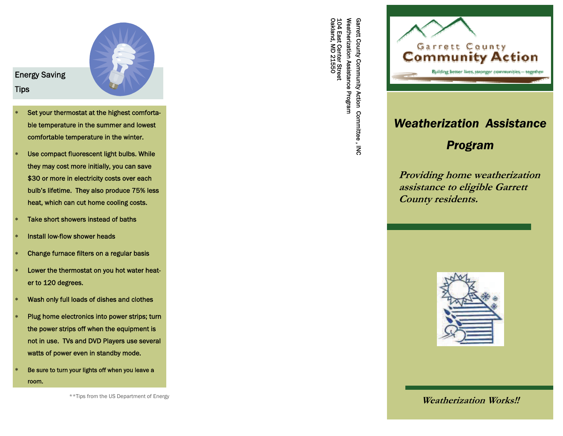

## Energy Saving **Tips**

- $\ast$  Set your thermostat at the highest comfortable temperature in the summer and lowest comfortable temperature in the winter.
- $\ast$  Use compact fluorescent light bulbs. While they may cost more initially, you can save \$30 or more in electricity costs over each bulb's lifetime. They also produce 75% less heat, which can cut home cooling costs.
- $\ast$ Take short showers instead of baths
- $\ast$ Install low-flow shower heads
- $\ast$ Change furnace filters on a regular basis
- $\ast$  Lower the thermostat on you hot water heater to 120 degrees.
- $\ast$ Wash only full loads of dishes and clothes
- $\ast$  Plug home electronics into power strips; turn the power strips off when the equipment is not in use. TVs and DVD Players use several watts of power even in standby mode.
- $\ast$  Be sure to turn your lights off when you leave a room.

104 East Center Street<br>Oakland, MD 21550 Oakland, MD 21550 104 East Center Street Weatherization Assistance Program Weatherization A Garrett County Community Action Committee, INC Garrett County Community Action Committee , INC ssistance Program



# *Weatherization Assistance*

# *Program*

**Providing home weatherization assistance to eligible Garrett County residents.** 



\*\*Tips from the US Department of Energy **Weatherization Works!!**